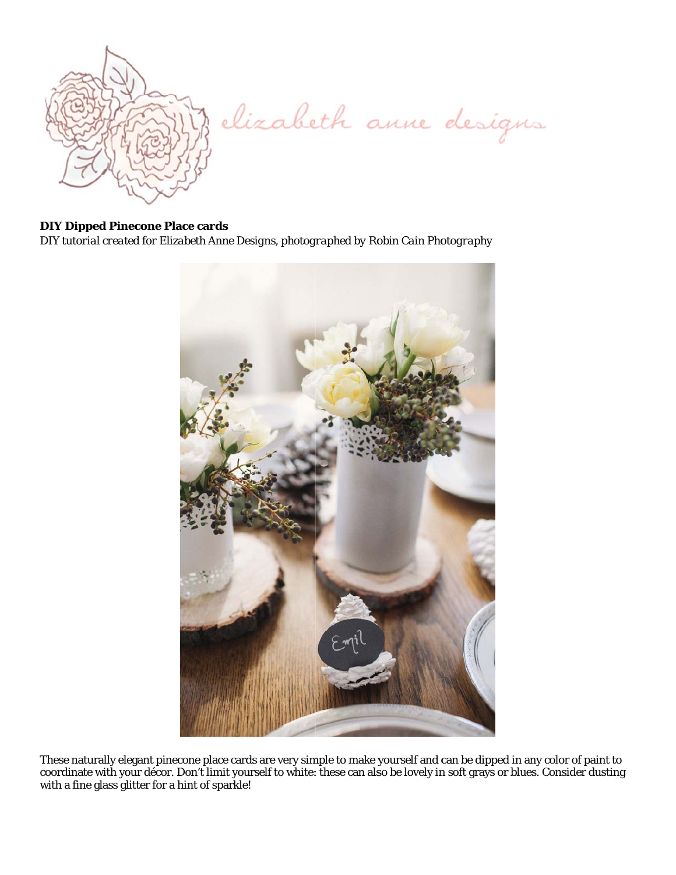

elizabeth anne designs

## **DIY Dipped Pinecone Place cards**

DIY tutorial created for Elizabeth Anne Designs, photographed by Robin Cain Photography



These naturally elegant pinecone place cards are very simple to make yourself and can be dipped in any color of paint to coordinate with your décor. Don't limit yourself to white: these can also be lovely in soft grays or with a fine glass glitter for a hint of sparkle!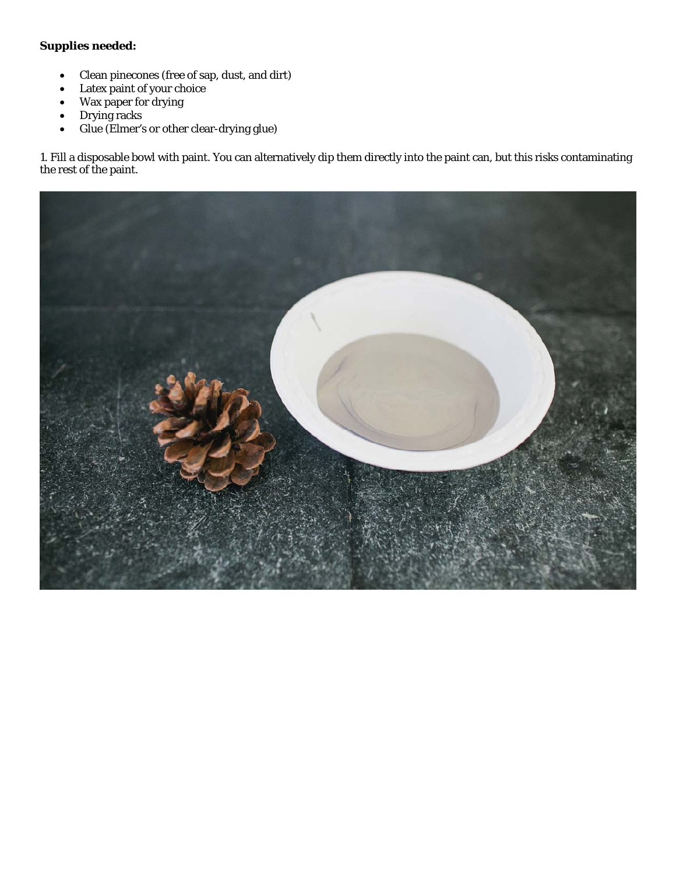## *Supplies needed:*

- Clean pinecones (free of sap, dust, and dirt)
- Latex paint of your choice
- Wax paper for drying
- Drying racks
- Glue (Elmer's or other clear-drying glue)

1. Fill a disposable bowl with paint. You can alternatively dip them directly into the paint can, but this risks contaminating the rest of the paint.

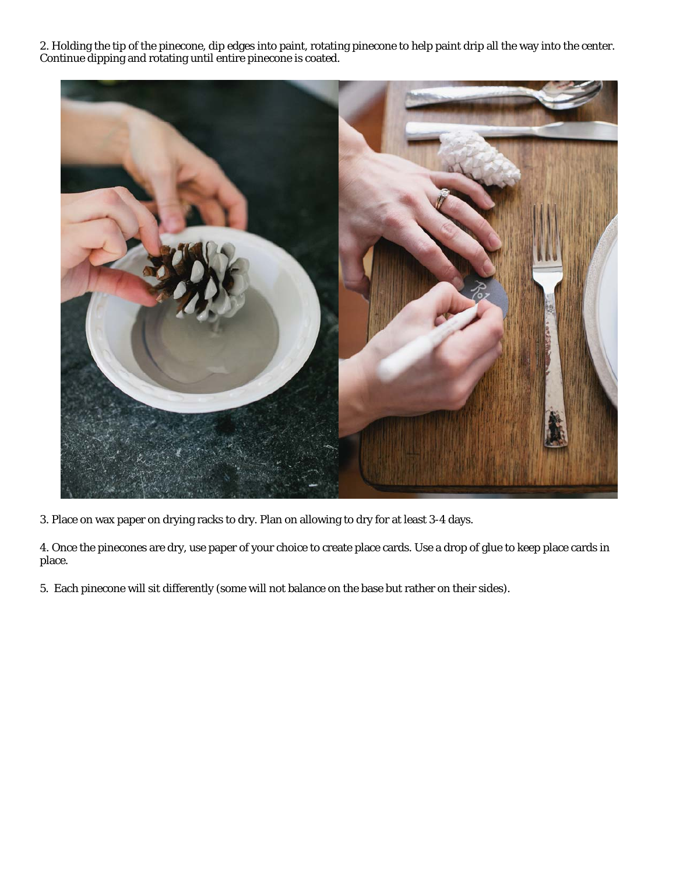2. Holding the tip of the pinecone, dip edges into paint, rotating pinecone to help paint drip all the way into the center. Continue dipping and rotating until entire pinecone is coated.



3. Place on wax paper on drying racks to dry. Plan on allowing to dry for at least 3-4 days.

4. Once the pinecones are dry, use paper of your choice to create place cards. Use a drop of glue to keep place cards in place.

5. Each pinecone will sit differently (some will not balance on the base but rather on their sides).